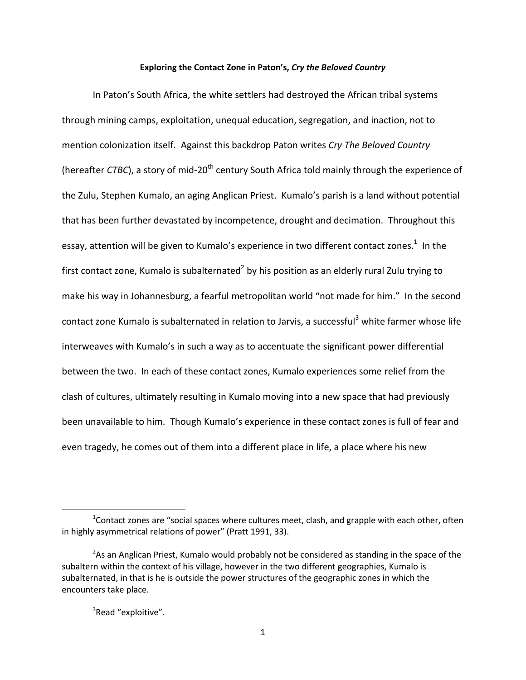## Exploring the Contact Zone in Paton's, Cry the Beloved Country

In Paton's South Africa, the white settlers had destroyed the African tribal systems through mining camps, exploitation, unequal education, segregation, and inaction, not to mention colonization itself. Against this backdrop Paton writes Cry The Beloved Country (hereafter *CTBC*), a story of mid-20<sup>th</sup> century South Africa told mainly through the experience of the Zulu, Stephen Kumalo, an aging Anglican Priest. Kumalo's parish is a land without potential that has been further devastated by incompetence, drought and decimation. Throughout this essay, attention will be given to Kumalo's experience in two different contact zones. $^1$  In the first contact zone, Kumalo is subalternated<sup>2</sup> by his position as an elderly rural Zulu trying to make his way in Johannesburg, a fearful metropolitan world "not made for him." In the second contact zone Kumalo is subalternated in relation to Jarvis, a successful<sup>3</sup> white farmer whose life interweaves with Kumalo's in such a way as to accentuate the significant power differential between the two. In each of these contact zones, Kumalo experiences some relief from the clash of cultures, ultimately resulting in Kumalo moving into a new space that had previously been unavailable to him. Though Kumalo's experience in these contact zones is full of fear and even tragedy, he comes out of them into a different place in life, a place where his new

<sup>3</sup>Read "exploitive".

 $^{1}$ Contact zones are "social spaces where cultures meet, clash, and grapple with each other, often in highly asymmetrical relations of power" (Pratt 1991, 33).

<sup>&</sup>lt;sup>2</sup>As an Anglican Priest, Kumalo would probably not be considered as standing in the space of the subaltern within the context of his village, however in the two different geographies, Kumalo is subalternated, in that is he is outside the power structures of the geographic zones in which the encounters take place.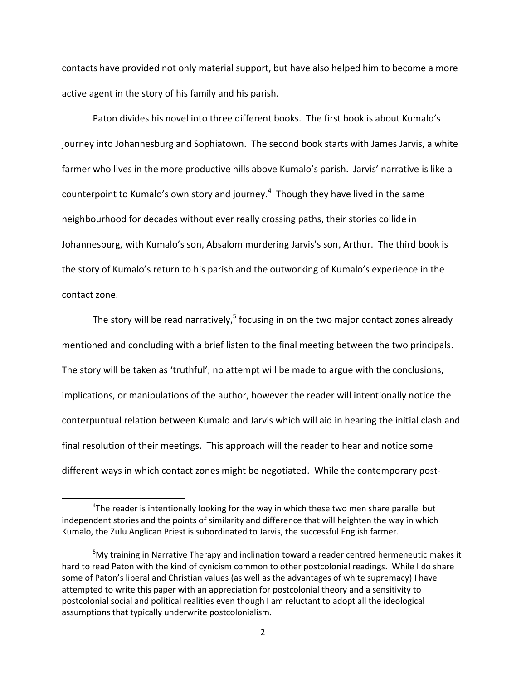contacts have provided not only material support, but have also helped him to become a more active agent in the story of his family and his parish.

Paton divides his novel into three different books. The first book is about Kumalo's journey into Johannesburg and Sophiatown. The second book starts with James Jarvis, a white farmer who lives in the more productive hills above Kumalo's parish. Jarvis' narrative is like a counterpoint to Kumalo's own story and journey. $^4$  Though they have lived in the same neighbourhood for decades without ever really crossing paths, their stories collide in Johannesburg, with Kumalo's son, Absalom murdering Jarvis's son, Arthur. The third book is the story of Kumalo's return to his parish and the outworking of Kumalo's experience in the contact zone.

The story will be read narratively,  $5$  focusing in on the two major contact zones already mentioned and concluding with a brief listen to the final meeting between the two principals. The story will be taken as 'truthful'; no attempt will be made to argue with the conclusions, implications, or manipulations of the author, however the reader will intentionally notice the conterpuntual relation between Kumalo and Jarvis which will aid in hearing the initial clash and final resolution of their meetings. This approach will the reader to hear and notice some different ways in which contact zones might be negotiated. While the contemporary post-

 $4$ The reader is intentionally looking for the way in which these two men share parallel but independent stories and the points of similarity and difference that will heighten the way in which Kumalo, the Zulu Anglican Priest is subordinated to Jarvis, the successful English farmer.

 $5$ My training in Narrative Therapy and inclination toward a reader centred hermeneutic makes it hard to read Paton with the kind of cynicism common to other postcolonial readings. While I do share some of Paton's liberal and Christian values (as well as the advantages of white supremacy) I have attempted to write this paper with an appreciation for postcolonial theory and a sensitivity to postcolonial social and political realities even though I am reluctant to adopt all the ideological assumptions that typically underwrite postcolonialism.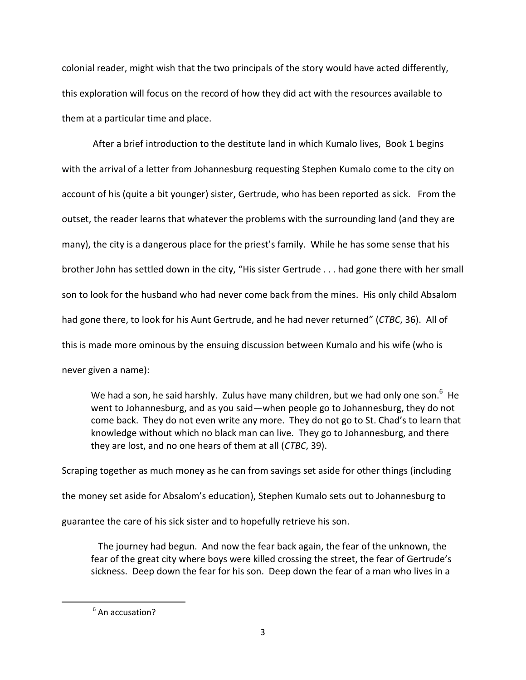colonial reader, might wish that the two principals of the story would have acted differently, this exploration will focus on the record of how they did act with the resources available to them at a particular time and place.

After a brief introduction to the destitute land in which Kumalo lives, Book 1 begins with the arrival of a letter from Johannesburg requesting Stephen Kumalo come to the city on account of his (quite a bit younger) sister, Gertrude, who has been reported as sick. From the outset, the reader learns that whatever the problems with the surrounding land (and they are many), the city is a dangerous place for the priest's family. While he has some sense that his brother John has settled down in the city, "His sister Gertrude . . . had gone there with her small son to look for the husband who had never come back from the mines. His only child Absalom had gone there, to look for his Aunt Gertrude, and he had never returned'' (*CTBC*, 36). All of this is made more ominous by the ensuing discussion between Kumalo and his wife (who is never given a name):

We had a son, he said harshly. Zulus have many children, but we had only one son.<sup>6</sup> He went to Johannesburg, and as you said — when people go to Johannesburg, they do not come back. They do not even write any more. They do not go to St. Chad's to learn that knowledge without which no black man can live. They go to Johannesburg, and there they are lost, and no one hears of them at all (*CTBC*, 39).

Scraping together as much money as he can from savings set aside for other things (including the money set aside for Absalom's education), Stephen Kumalo sets out to Johannesburg to guarantee the care of his sick sister and to hopefully retrieve his son.

The journey had begun. And now the fear back again, the fear of the unknown, the fear of the great city where boys were killed crossing the street, the fear of Gertrude's sickness. Deep down the fear for his son. Deep down the fear of a man who lives in a

<sup>&</sup>quot;"""""""""""""""""""""""""""""""""""""""""""""""""""""""""  $6$  An accusation?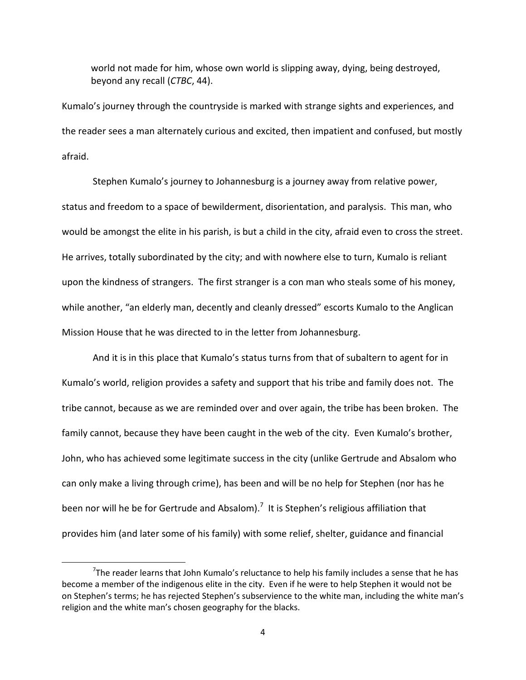world not made for him, whose own world is slipping away, dying, being destroyed, beyond any recall (*CTBC*, 44).

Kumalo's journey through the countryside is marked with strange sights and experiences, and the reader sees a man alternately curious and excited, then impatient and confused, but mostly afraid.

Stephen Kumalo's journey to Johannesburg is a journey away from relative power, status and freedom to a space of bewilderment, disorientation, and paralysis. This man, who would be amongst the elite in his parish, is but a child in the city, afraid even to cross the street. He arrives, totally subordinated by the city; and with nowhere else to turn, Kumalo is reliant upon the kindness of strangers. The first stranger is a con man who steals some of his money, while another, "an elderly man, decently and cleanly dressed" escorts Kumalo to the Anglican Mission House that he was directed to in the letter from Johannesburg.

And it is in this place that Kumalo's status turns from that of subaltern to agent for in Kumalo's world, religion provides a safety and support that his tribe and family does not. The tribe cannot, because as we are reminded over and over again, the tribe has been broken. The family cannot, because they have been caught in the web of the city. Even Kumalo's brother, John, who has achieved some legitimate success in the city (unlike Gertrude and Absalom who can only make a living through crime), has been and will be no help for Stephen (nor has he been nor will he be for Gertrude and Absalom).<sup>7</sup> It is Stephen's religious affiliation that provides him (and later some of his family) with some relief, shelter, guidance and financial

 $^7$ The reader learns that John Kumalo's reluctance to help his family includes a sense that he has become a member of the indigenous elite in the city. Even if he were to help Stephen it would not be on Stephen's terms; he has rejected Stephen's subservience to the white man, including the white man's religion and the white man's chosen geography for the blacks.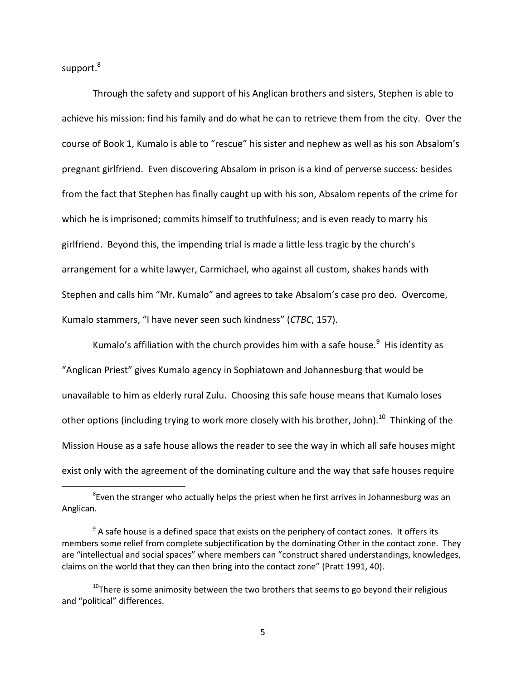support.<sup>8</sup>

""""""""""""""""""""""""""""""""""""""""""""""""""""""""""

Through the safety and support of his Anglican brothers and sisters, Stephen is able to achieve his mission: find his family and do what he can to retrieve them from the city. Over the course of Book 1, Kumalo is able to "rescue" his sister and nephew as well as his son Absalom's pregnant girlfriend. Even discovering Absalom in prison is a kind of perverse success: besides from the fact that Stephen has finally caught up with his son, Absalom repents of the crime for which he is imprisoned; commits himself to truthfulness; and is even ready to marry his girlfriend. Beyond this, the impending trial is made a little less tragic by the church's arrangement for a white lawyer, Carmichael, who against all custom, shakes hands with Stephen and calls him "Mr. Kumalo" and agrees to take Absalom's case pro deo. Overcome, Kumalo stammers, "I have never seen such kindness" (CTBC, 157).

Kumalo's affiliation with the church provides him with a safe house.<sup>9</sup> His identity as "Anglican Priest" gives Kumalo agency in Sophiatown and Johannesburg that would be unavailable to him as elderly rural Zulu. Choosing this safe house means that Kumalo loses other options (including trying to work more closely with his brother, John).<sup>10</sup> Thinking of the Mission House as a safe house allows the reader to see the way in which all safe houses might exist only with the agreement of the dominating culture and the way that safe houses require

 ${}^{8}$ Even the stranger who actually helps the priest when he first arrives in Johannesburg was an Anglican.

 $9<sup>9</sup>$  A safe house is a defined space that exists on the periphery of contact zones. It offers its members some relief from complete subjectification by the dominating Other in the contact zone. They are "intellectual and social spaces" where members can "construct shared understandings, knowledges, claims on the world that they can then bring into the contact zone" (Pratt 1991, 40).

 $10$ There is some animosity between the two brothers that seems to go beyond their religious and "political" differences.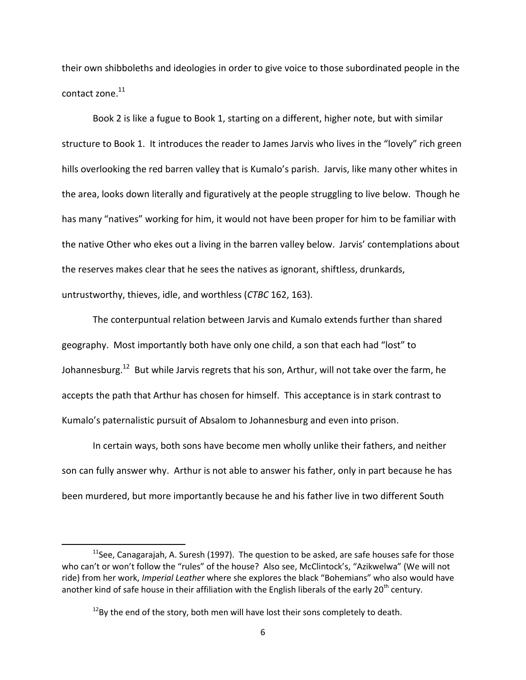their own shibboleths and ideologies in order to give voice to those subordinated people in the contact zone. $^{11}$ 

Book 2 is like a fugue to Book 1, starting on a different, higher note, but with similar structure to Book 1. It introduces the reader to James Jarvis who lives in the "lovely" rich green hills overlooking the red barren valley that is Kumalo's parish. Jarvis, like many other whites in the area, looks down literally and figuratively at the people struggling to live below. Though he has many "natives" working for him, it would not have been proper for him to be familiar with the native Other who ekes out a living in the barren valley below. Jarvis' contemplations about the reserves makes clear that he sees the natives as ignorant, shiftless, drunkards, untrustworthy, thieves, idle, and worthless (*CTBC* 162, 163).

The conterpuntual relation between Jarvis and Kumalo extends further than shared geography. Most importantly both have only one child, a son that each had "lost" to Johannesburg.<sup>12</sup> But while Jarvis regrets that his son, Arthur, will not take over the farm, he accepts the path that Arthur has chosen for himself. This acceptance is in stark contrast to Kumalo's paternalistic pursuit of Absalom to Johannesburg and even into prison.

In certain ways, both sons have become men wholly unlike their fathers, and neither son can fully answer why. Arthur is not able to answer his father, only in part because he has been murdered, but more importantly because he and his father live in two different South

<sup>&</sup>lt;sup>11</sup>See, Canagarajah, A. Suresh (1997). The question to be asked, are safe houses safe for those who can't or won't follow the "rules" of the house? Also see, McClintock's, "Azikwelwa" (We will not ride) from her work, *Imperial Leather* where she explores the black "Bohemians" who also would have another kind of safe house in their affiliation with the English liberals of the early  $20<sup>th</sup>$  century.

 $12$ By the end of the story, both men will have lost their sons completely to death.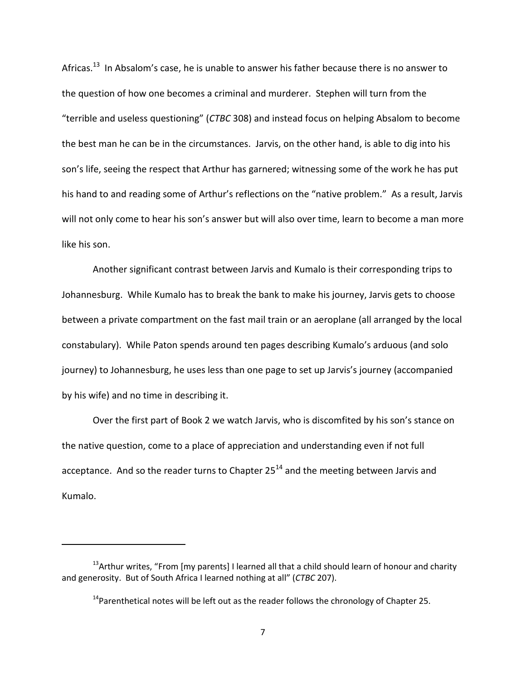Africas.<sup>13</sup> In Absalom's case, he is unable to answer his father because there is no answer to the question of how one becomes a criminal and murderer. Stephen will turn from the "terrible and useless questioning" (CTBC 308) and instead focus on helping Absalom to become the best man he can be in the circumstances. Jarvis, on the other hand, is able to dig into his son's life, seeing the respect that Arthur has garnered; witnessing some of the work he has put his hand to and reading some of Arthur's reflections on the "native problem." As a result, Jarvis will not only come to hear his son's answer but will also over time, learn to become a man more like his son.

Another significant contrast between Jarvis and Kumalo is their corresponding trips to Johannesburg. While Kumalo has to break the bank to make his journey, Jarvis gets to choose between a private compartment on the fast mail train or an aeroplane (all arranged by the local constabulary). While Paton spends around ten pages describing Kumalo's arduous (and solo journey) to Johannesburg, he uses less than one page to set up Jarvis's journey (accompanied by his wife) and no time in describing it.

Over the first part of Book 2 we watch Jarvis, who is discomfited by his son's stance on the native question, come to a place of appreciation and understanding even if not full acceptance. And so the reader turns to Chapter  $25^{14}$  and the meeting between Jarvis and Kumalo.

 $13$ Arthur writes, "From [my parents] I learned all that a child should learn of honour and charity and generosity. But of South Africa I learned nothing at all" (CTBC 207).

<sup>&</sup>lt;sup>14</sup>Parenthetical notes will be left out as the reader follows the chronology of Chapter 25.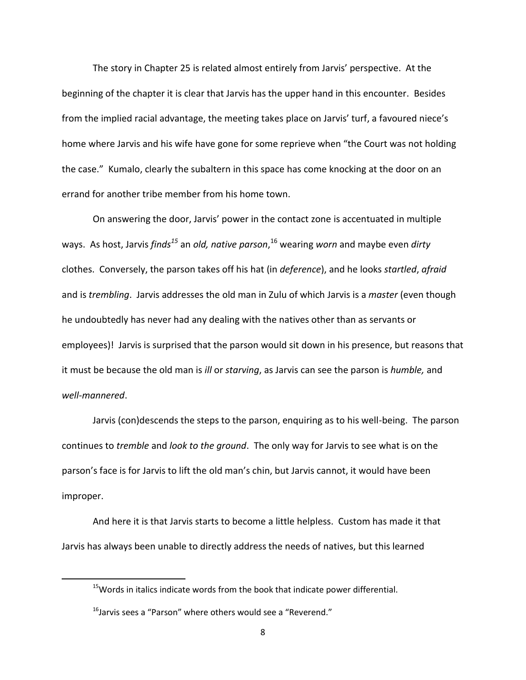The story in Chapter 25 is related almost entirely from Jarvis' perspective. At the beginning of the chapter it is clear that Jarvis has the upper hand in this encounter. Besides from the implied racial advantage, the meeting takes place on Jarvis' turf, a favoured niece's home where Jarvis and his wife have gone for some reprieve when "the Court was not holding the case." Kumalo, clearly the subaltern in this space has come knocking at the door on an errand for another tribe member from his home town.

On answering the door, Jarvis' power in the contact zone is accentuated in multiple ways. As host, Jarvis *finds<sup>15</sup>* an *old, native parson*,<sup>16</sup> wearing *worn* and maybe even *dirty* clothes. Conversely, the parson takes off his hat (in *deference*), and he looks *startled*, *afraid* and is *trembling*. Jarvis addresses the old man in Zulu of which Jarvis is a *master* (even though he undoubtedly has never had any dealing with the natives other than as servants or employees)! Jarvis is surprised that the parson would sit down in his presence, but reasons that it must be because the old man is *ill* or *starving*, as Jarvis can see the parson is *humble*, and well-mannered.

Jarvis (con)descends the steps to the parson, enquiring as to his well-being. The parson continues to *tremble* and *look to the ground*. The only way for Jarvis to see what is on the parson's face is for Jarvis to lift the old man's chin, but Jarvis cannot, it would have been improper.

And here it is that Jarvis starts to become a little helpless. Custom has made it that Jarvis has always been unable to directly address the needs of natives, but this learned

 $15$ Words in italics indicate words from the book that indicate power differential.

 $^{16}$ Jarvis sees a "Parson" where others would see a "Reverend."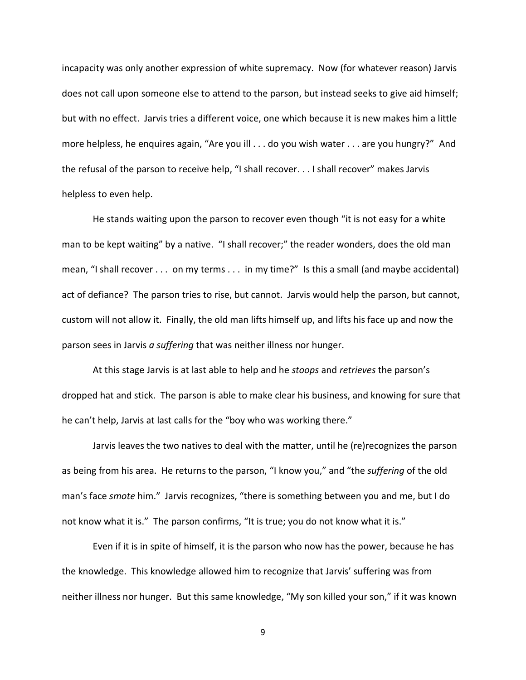incapacity was only another expression of white supremacy. Now (for whatever reason) Jarvis does not call upon someone else to attend to the parson, but instead seeks to give aid himself; but with no effect. Jarvis tries a different voice, one which because it is new makes him a little more helpless, he enquires again, "Are you ill . . . do you wish water . . . are you hungry?" And the refusal of the parson to receive help, "I shall recover. . . I shall recover" makes Jarvis helpless to even help.

He stands waiting upon the parson to recover even though "it is not easy for a white man to be kept waiting" by a native. "I shall recover;" the reader wonders, does the old man mean, "I shall recover . . . on my terms . . . in my time?" Is this a small (and maybe accidental) act of defiance? The parson tries to rise, but cannot. Jarvis would help the parson, but cannot, custom will not allow it. Finally, the old man lifts himself up, and lifts his face up and now the parson sees in Jarvis *a suffering* that was neither illness nor hunger.

At this stage Jarvis is at last able to help and he *stoops* and *retrieves* the parson's dropped hat and stick. The parson is able to make clear his business, and knowing for sure that he can't help, Jarvis at last calls for the "boy who was working there."

Jarvis leaves the two natives to deal with the matter, until he (re)recognizes the parson as being from his area. He returns to the parson, "I know you," and "the *suffering* of the old man's face smote him." Jarvis recognizes, "there is something between you and me, but I do not know what it is." The parson confirms, "It is true; you do not know what it is."

Even if it is in spite of himself, it is the parson who now has the power, because he has the knowledge. This knowledge allowed him to recognize that Jarvis' suffering was from neither illness nor hunger. But this same knowledge, "My son killed your son," if it was known

9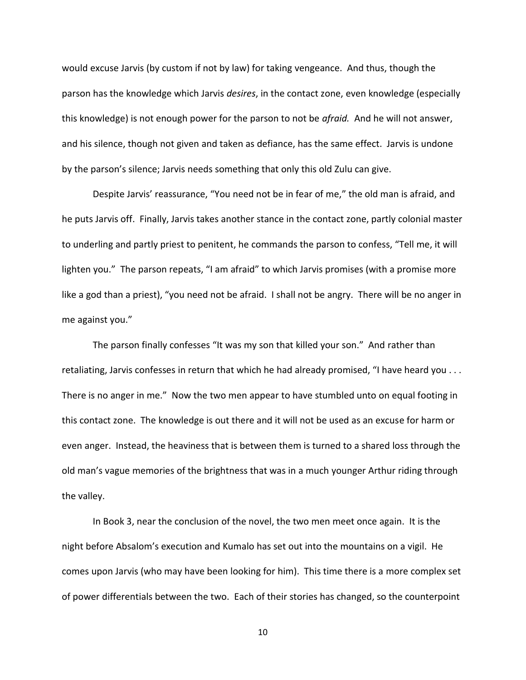would excuse Jarvis (by custom if not by law) for taking vengeance. And thus, though the parson has the knowledge which Jarvis *desires*, in the contact zone, even knowledge (especially this knowledge) is not enough power for the parson to not be *afraid*. And he will not answer, and his silence, though not given and taken as defiance, has the same effect. Jarvis is undone by the parson's silence; Jarvis needs something that only this old Zulu can give.

Despite Jarvis' reassurance, "You need not be in fear of me," the old man is afraid, and he puts Jarvis off. Finally, Jarvis takes another stance in the contact zone, partly colonial master to underling and partly priest to penitent, he commands the parson to confess, "Tell me, it will lighten you." The parson repeats, "I am afraid" to which Jarvis promises (with a promise more like a god than a priest), "you need not be afraid. I shall not be angry. There will be no anger in me against you."

The parson finally confesses "It was my son that killed your son." And rather than retaliating, Jarvis confesses in return that which he had already promised, "I have heard you . . . There is no anger in me." Now the two men appear to have stumbled unto on equal footing in this contact zone. The knowledge is out there and it will not be used as an excuse for harm or even anger. Instead, the heaviness that is between them is turned to a shared loss through the old man's vague memories of the brightness that was in a much younger Arthur riding through the valley.

In Book 3, near the conclusion of the novel, the two men meet once again. It is the night before Absalom's execution and Kumalo has set out into the mountains on a vigil. He comes upon Jarvis (who may have been looking for him). This time there is a more complex set of power differentials between the two. Each of their stories has changed, so the counterpoint

10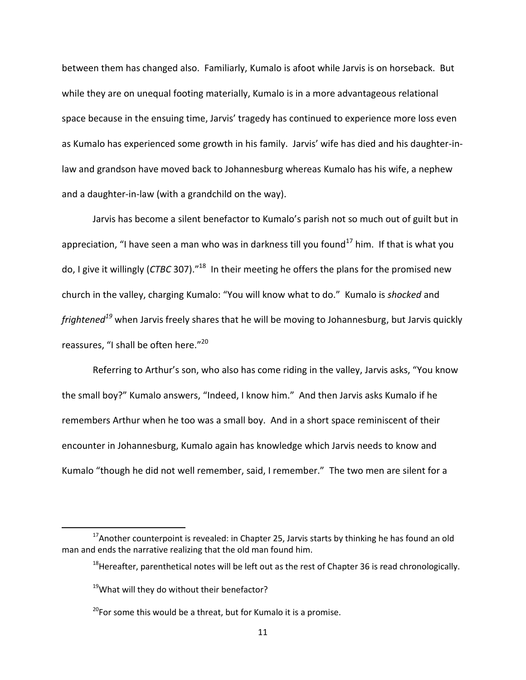between them has changed also. Familiarly, Kumalo is afoot while Jarvis is on horseback. But while they are on unequal footing materially, Kumalo is in a more advantageous relational space because in the ensuing time, Jarvis' tragedy has continued to experience more loss even as Kumalo has experienced some growth in his family. Jarvis' wife has died and his daughter-inlaw and grandson have moved back to Johannesburg whereas Kumalo has his wife, a nephew and a daughter-in-law (with a grandchild on the way).

Jarvis has become a silent benefactor to Kumalo's parish not so much out of guilt but in appreciation, "I have seen a man who was in darkness till you found<sup>17</sup> him. If that is what you do, I give it willingly (*CTBC* 307).<sup>"18</sup> In their meeting he offers the plans for the promised new church in the valley, charging Kumalo: "You will know what to do." Kumalo is shocked and *frightened*<sup>19</sup> when Jarvis freely shares that he will be moving to Johannesburg, but Jarvis quickly reassures, "I shall be often here."<sup>20</sup>

Referring to Arthur's son, who also has come riding in the valley, Jarvis asks, "You know the small boy?" Kumalo answers, "Indeed, I know him." And then Jarvis asks Kumalo if he remembers Arthur when he too was a small boy. And in a short space reminiscent of their encounter in Johannesburg, Kumalo again has knowledge which Jarvis needs to know and Kumalo "though he did not well remember, said, I remember." The two men are silent for a

 $17$ Another counterpoint is revealed: in Chapter 25, Jarvis starts by thinking he has found an old man and ends the narrative realizing that the old man found him.

 $18$ Hereafter, parenthetical notes will be left out as the rest of Chapter 36 is read chronologically.

 $19$ What will they do without their benefactor?

<sup>&</sup>lt;sup>20</sup>For some this would be a threat, but for Kumalo it is a promise.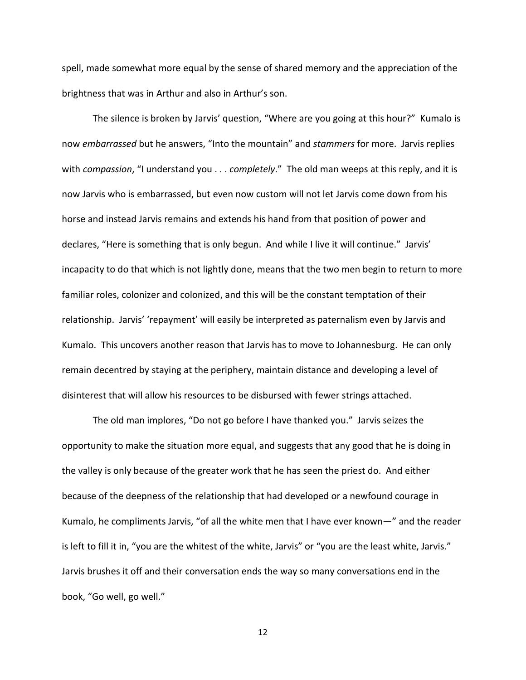spell, made somewhat more equal by the sense of shared memory and the appreciation of the brightness that was in Arthur and also in Arthur's son.

The silence is broken by Jarvis' question, "Where are you going at this hour?" Kumalo is now *embarrassed* but he answers, "Into the mountain" and *stammers* for more. Jarvis replies with *compassion*, "I understand you . . . *completely*." The old man weeps at this reply, and it is now Jarvis who is embarrassed, but even now custom will not let Jarvis come down from his horse and instead Jarvis remains and extends his hand from that position of power and declares, "Here is something that is only begun. And while I live it will continue." Jarvis' incapacity to do that which is not lightly done, means that the two men begin to return to more familiar roles, colonizer and colonized, and this will be the constant temptation of their relationship. Jarvis' 'repayment' will easily be interpreted as paternalism even by Jarvis and Kumalo. This uncovers another reason that Jarvis has to move to Johannesburg. He can only remain decentred by staying at the periphery, maintain distance and developing a level of disinterest that will allow his resources to be disbursed with fewer strings attached.

The old man implores, "Do not go before I have thanked you." Jarvis seizes the opportunity to make the situation more equal, and suggests that any good that he is doing in the valley is only because of the greater work that he has seen the priest do. And either because of the deepness of the relationship that had developed or a newfound courage in Kumalo, he compliments Jarvis, "of all the white men that I have ever known—" and the reader is left to fill it in, "you are the whitest of the white, Jarvis" or "you are the least white, Jarvis." Jarvis brushes it off and their conversation ends the way so many conversations end in the book, "Go well, go well."

12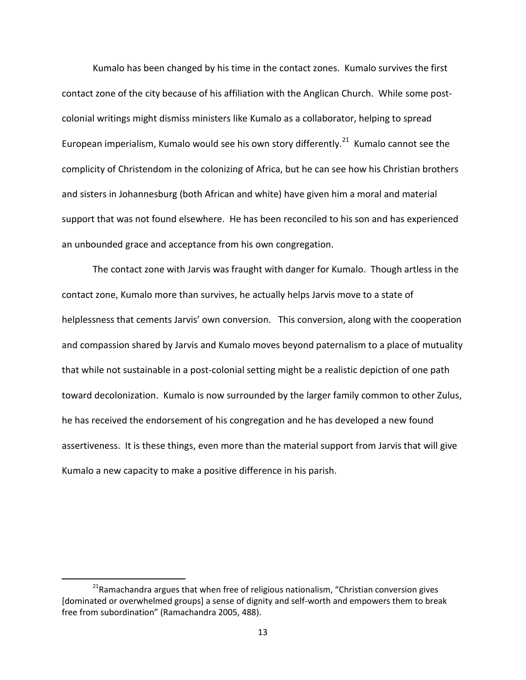Kumalo has been changed by his time in the contact zones. Kumalo survives the first contact zone of the city because of his affiliation with the Anglican Church. While some postcolonial writings might dismiss ministers like Kumalo as a collaborator, helping to spread European imperialism, Kumalo would see his own story differently.<sup>21</sup> Kumalo cannot see the complicity of Christendom in the colonizing of Africa, but he can see how his Christian brothers and sisters in Johannesburg (both African and white) have given him a moral and material support that was not found elsewhere. He has been reconciled to his son and has experienced an unbounded grace and acceptance from his own congregation.

The contact zone with Jarvis was fraught with danger for Kumalo. Though artless in the contact zone, Kumalo more than survives, he actually helps Jarvis move to a state of helplessness that cements Jarvis' own conversion. This conversion, along with the cooperation and compassion shared by Jarvis and Kumalo moves beyond paternalism to a place of mutuality that while not sustainable in a post-colonial setting might be a realistic depiction of one path toward decolonization. Kumalo is now surrounded by the larger family common to other Zulus, he has received the endorsement of his congregation and he has developed a new found assertiveness. It is these things, even more than the material support from Jarvis that will give Kumalo a new capacity to make a positive difference in his parish.

<sup>&</sup>lt;sup>21</sup>Ramachandra argues that when free of religious nationalism, "Christian conversion gives [dominated or overwhelmed groups] a sense of dignity and self-worth and empowers them to break free from subordination" (Ramachandra 2005, 488).